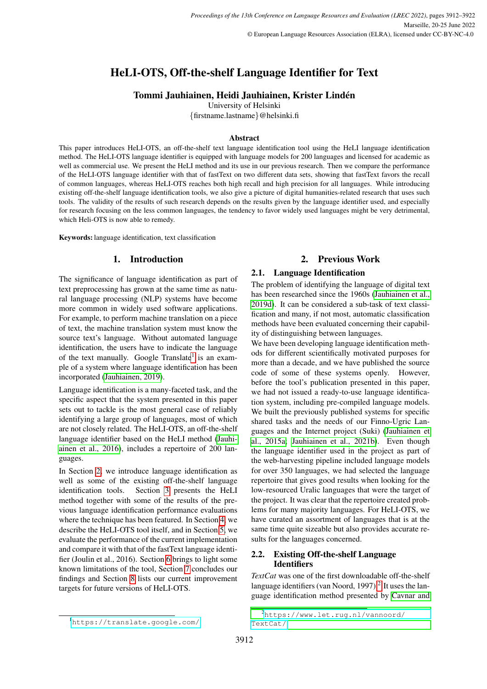# HeLI-OTS, Off-the-shelf Language Identifier for Text

## Tommi Jauhiainen, Heidi Jauhiainen, Krister Lindén

University of Helsinki

{firstname.lastname}@helsinki.fi

## **Abstract**

This paper introduces HeLI-OTS, an off-the-shelf text language identification tool using the HeLI language identification method. The HeLI-OTS language identifier is equipped with language models for 200 languages and licensed for academic as well as commercial use. We present the HeLI method and its use in our previous research. Then we compare the performance of the HeLI-OTS language identifier with that of fastText on two different data sets, showing that fastText favors the recall of common languages, whereas HeLI-OTS reaches both high recall and high precision for all languages. While introducing existing off-the-shelf language identification tools, we also give a picture of digital humanities-related research that uses such tools. The validity of the results of such research depends on the results given by the language identifier used, and especially for research focusing on the less common languages, the tendency to favor widely used languages might be very detrimental, which Heli-OTS is now able to remedy.

Keywords: language identification, text classification

## 1. Introduction

The significance of language identification as part of text preprocessing has grown at the same time as natural language processing (NLP) systems have become more common in widely used software applications. For example, to perform machine translation on a piece of text, the machine translation system must know the source text's language. Without automated language identification, the users have to indicate the language of the text manually. Google Translate<sup>[1](#page-0-0)</sup> is an example of a system where language identification has been incorporated [\(Jauhiainen, 2019\)](#page-8-0).

Language identification is a many-faceted task, and the specific aspect that the system presented in this paper sets out to tackle is the most general case of reliably identifying a large group of languages, most of which are not closely related. The HeLI-OTS, an off-the-shelf language identifier based on the HeLI method [\(Jauhi](#page-8-1)[ainen et al., 2016\)](#page-8-1), includes a repertoire of 200 languages.

In Section [2,](#page-0-1) we introduce language identification as well as some of the existing off-the-shelf language identification tools. Section [3](#page-1-0) presents the HeLI method together with some of the results of the previous language identification performance evaluations where the technique has been featured. In Section [4,](#page-2-0) we describe the HeLI-OTS tool itself, and in Section [5,](#page-4-0) we evaluate the performance of the current implementation and compare it with that of the fastText language identifier (Joulin et al., 2016). Section [6](#page-6-0) brings to light some known limitations of the tool, Section [7](#page-6-1) concludes our findings and Section [8](#page-7-0) lists our current improvement targets for future versions of HeLI-OTS.

## 2. Previous Work

## 2.1. Language Identification

The problem of identifying the language of digital text has been researched since the 1960s [\(Jauhiainen et al.,](#page-8-2) [2019d\)](#page-8-2). It can be considered a sub-task of text classification and many, if not most, automatic classification methods have been evaluated concerning their capability of distinguishing between languages.

We have been developing language identification methods for different scientifically motivated purposes for more than a decade, and we have published the source code of some of these systems openly. However, before the tool's publication presented in this paper, we had not issued a ready-to-use language identification system, including pre-compiled language models. We built the previously published systems for specific shared tasks and the needs of our Finno-Ugric Languages and the Internet project (Suki) [\(Jauhiainen et](#page-8-3) [al., 2015a;](#page-8-3) [Jauhiainen et al., 2021b\)](#page-8-4). Even though the language identifier used in the project as part of the web-harvesting pipeline included language models for over 350 languages, we had selected the language repertoire that gives good results when looking for the low-resourced Uralic languages that were the target of the project. It was clear that the repertoire created problems for many majority languages. For HeLI-OTS, we have curated an assortment of languages that is at the same time quite sizeable but also provides accurate results for the languages concerned.

## <span id="page-0-3"></span>2.2. Existing Off-the-shelf Language **Identifiers**

*TextCat* was one of the first downloadable off-the-shelf language identifiers (van Noord, 1997). $<sup>2</sup>$  $<sup>2</sup>$  $<sup>2</sup>$  It uses the lan-</sup> guage identification method presented by [Cavnar and](#page-7-1)

<span id="page-0-1"></span><span id="page-0-0"></span><sup>1</sup><https://translate.google.com/>

<span id="page-0-2"></span><sup>2</sup>[https://www.let.rug.nl/vannoord/](#page-7-1) [TextCat/](#page-7-1)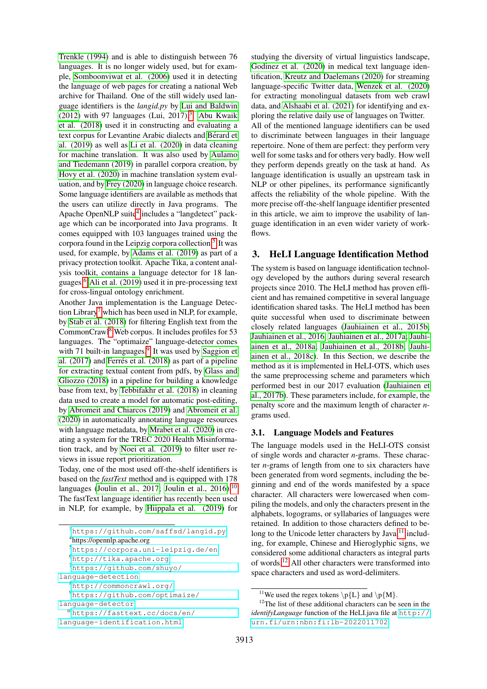[Trenkle \(1994\)](#page-7-1) and is able to distinguish between 76 languages. It is no longer widely used, but for example, [Somboonviwat et al. \(2006\)](#page-9-0) used it in detecting the language of web pages for creating a national Web archive for Thailand. One of the still widely used language identifiers is the *langid.py* by [Lui and Baldwin](#page-9-1) [\(2012\)](#page-9-1) with 97 languages (Lui, 2017). $3$  [Abu Kwaik](#page-7-2) [et al. \(2018\)](#page-7-2) used it in constructing and evaluating a text corpus for Levantine Arabic dialects and Bérard et [al. \(2019\)](#page-7-3) as well as [Li et al. \(2020\)](#page-9-2) in data cleaning for machine translation. It was also used by [Aulamo](#page-7-4) [and Tiedemann \(2019\)](#page-7-4) in parallel corpora creation, by [Hovy et al. \(2020\)](#page-8-5) in machine translation system evaluation, and by [Frey \(2020\)](#page-7-5) in language choice research. Some language identifiers are available as methods that the users can utilize directly in Java programs. The Apache OpenNLP suite<sup>[4](#page-1-2)</sup> includes a "langdetect" package which can be incorporated into Java programs. It comes equipped with 103 languages trained using the corpora found in the Leipzig corpora collection.<sup>[5](#page-1-3)</sup> It was used, for example, by [Adams et al. \(2019\)](#page-7-6) as part of a privacy protection toolkit. Apache Tika, a content analysis toolkit, contains a language detector for 18 languages.[6](#page-1-4) [Ali et al. \(2019\)](#page-7-7) used it in pre-processing text for cross-lingual ontology enrichment.

Another Java implementation is the Language Detec-tion Library<sup>[7](#page-1-5)</sup> which has been used in NLP, for example, by [Stab et al. \(2018\)](#page-9-3) for filtering English text from the CommonCrawl[8](#page-1-6) Web corpus. It includes profiles for 53 languages. The "optimaize" language-detector comes with 71 built-in languages.<sup>[9](#page-1-7)</sup> It was used by [Saggion et](#page-9-4) al.  $(2017)$  and Ferrés et al.  $(2018)$  as part of a pipeline for extracting textual content from pdfs, by [Glass and](#page-7-9) [Gliozzo \(2018\)](#page-7-9) in a pipeline for building a knowledge base from text, by [Tebbifakhr et al. \(2018\)](#page-9-5) in cleaning data used to create a model for automatic post-editing, by [Abromeit and Chiarcos \(2019\)](#page-7-10) and [Abromeit et al.](#page-7-11) [\(2020\)](#page-7-11) in automatically annotating language resources with language metadata, by [Mrabet et al. \(2020\)](#page-9-6) in creating a system for the TREC 2020 Health Misinformation track, and by [Noei et al. \(2019\)](#page-9-7) to filter user reviews in issue report prioritization.

Today, one of the most used off-the-shelf identifiers is based on the *fastText* method and is equipped with 178 languages [\(Joulin et al., 2017;](#page-9-8) [Joulin et al., 2016\)](#page-8-6).<sup>[10](#page-1-8)</sup> The fastText language identifier has recently been used in NLP, for example, by [Hiippala et al. \(2019\)](#page-8-7) for studying the diversity of virtual linguistics landscape, [Godinez et al. \(2020\)](#page-8-8) in medical text language identification, [Kreutz and Daelemans \(2020\)](#page-9-9) for streaming language-specific Twitter data, [Wenzek et al. \(2020\)](#page-9-10) for extracting monolingual datasets from web crawl data, and [Alshaabi et al. \(2021\)](#page-7-12) for identifying and exploring the relative daily use of languages on Twitter. All of the mentioned language identifiers can be used to discriminate between languages in their language repertoire. None of them are perfect: they perform very well for some tasks and for others very badly. How well they perform depends greatly on the task at hand. As language identification is usually an upstream task in NLP or other pipelines, its performance significantly affects the reliability of the whole pipeline. With the more precise off-the-shelf language identifier presented in this article, we aim to improve the usability of language identification in an even wider variety of workflows.

## <span id="page-1-0"></span>3. HeLI Language Identification Method

The system is based on language identification technology developed by the authors during several research projects since 2010. The HeLI method has proven efficient and has remained competitive in several language identification shared tasks. The HeLI method has been quite successful when used to discriminate between closely related languages [\(Jauhiainen et al., 2015b;](#page-8-9) [Jauhiainen et al., 2016;](#page-8-1) [Jauhiainen et al., 2017a;](#page-8-10) [Jauhi](#page-8-11)[ainen et al., 2018a;](#page-8-11) [Jauhiainen et al., 2018b;](#page-8-12) [Jauhi](#page-8-13)[ainen et al., 2018c\)](#page-8-13). In this Section, we describe the method as it is implemented in HeLI-OTS, which uses the same preprocessing scheme and parameters which performed best in our 2017 evaluation [\(Jauhiainen et](#page-8-14) [al., 2017b\)](#page-8-14). These parameters include, for example, the penalty score and the maximum length of character *n*grams used.

#### 3.1. Language Models and Features

The language models used in the HeLI-OTS consist of single words and character *n*-grams. These character *n*-grams of length from one to six characters have been generated from word segments, including the beginning and end of the words manifested by a space character. All characters were lowercased when compiling the models, and only the characters present in the alphabets, logograms, or syllabaries of languages were retained. In addition to those characters defined to belong to the Unicode letter characters by Java, $^{11}$  $^{11}$  $^{11}$  including, for example, Chinese and Hieroglyphic signs, we considered some additional characters as integral parts of words.[12](#page-1-10) All other characters were transformed into space characters and used as word-delimiters.

<span id="page-1-1"></span><sup>3</sup><https://github.com/saffsd/langid.py>

<span id="page-1-3"></span><span id="page-1-2"></span><sup>4</sup> https://opennlp.apache.org

<sup>5</sup><https://corpora.uni-leipzig.de/en>

<span id="page-1-4"></span><sup>6</sup><http://tika.apache.org>

<span id="page-1-5"></span><sup>7</sup>[https://github.com/shuyo/](https://github.com/shuyo/language-detection)

[language-detection](https://github.com/shuyo/language-detection)

<span id="page-1-6"></span><sup>8</sup><http://commoncrawl.org/>

<span id="page-1-7"></span><sup>9</sup>[https://github.com/optimaize/](https://github.com/optimaize/language-detector)

[language-detector](https://github.com/optimaize/language-detector)

<span id="page-1-8"></span><sup>10</sup>[https://fasttext.cc/docs/en/](https://fasttext.cc/docs/en/language-identification.html)

[language-identification.html](https://fasttext.cc/docs/en/language-identification.html)

<span id="page-1-10"></span><span id="page-1-9"></span><sup>&</sup>lt;sup>11</sup>We used the regex tokens  $\pmb{\downarrow}$  [L} and  $\pmb{\downarrow}$  p{M}.

<sup>&</sup>lt;sup>12</sup>The list of these additional characters can be seen in the *identifyLanguage* function of the HeLI.java file at [http://](http://urn.fi/urn:nbn:fi:lb-2022011702) [urn.fi/urn:nbn:fi:lb-2022011702](http://urn.fi/urn:nbn:fi:lb-2022011702).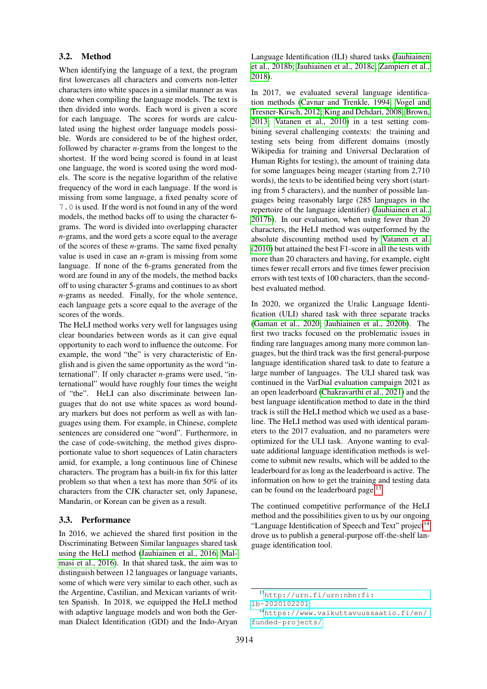#### 3.2. Method

When identifying the language of a text, the program first lowercases all characters and converts non-letter characters into white spaces in a similar manner as was done when compiling the language models. The text is then divided into words. Each word is given a score for each language. The scores for words are calculated using the highest order language models possible. Words are considered to be of the highest order, followed by character *n*-grams from the longest to the shortest. If the word being scored is found in at least one language, the word is scored using the word models. The score is the negative logarithm of the relative frequency of the word in each language. If the word is missing from some language, a fixed penalty score of 7.0 is used. If the word is not found in any of the word models, the method backs off to using the character 6 grams. The word is divided into overlapping character *n*-grams, and the word gets a score equal to the average of the scores of these *n*-grams. The same fixed penalty value is used in case an *n*-gram is missing from some language. If none of the 6-grams generated from the word are found in any of the models, the method backs off to using character 5-grams and continues to as short *n*-grams as needed. Finally, for the whole sentence, each language gets a score equal to the average of the scores of the words.

The HeLI method works very well for languages using clear boundaries between words as it can give equal opportunity to each word to influence the outcome. For example, the word "the" is very characteristic of English and is given the same opportunity as the word "international". If only character *n*-grams were used, "international" would have roughly four times the weight of "the". HeLI can also discriminate between languages that do not use white spaces as word boundary markers but does not perform as well as with languages using them. For example, in Chinese, complete sentences are considered one "word". Furthermore, in the case of code-switching, the method gives disproportionate value to short sequences of Latin characters amid, for example, a long continuous line of Chinese characters. The program has a built-in fix for this latter problem so that when a text has more than 50% of its characters from the CJK character set, only Japanese, Mandarin, or Korean can be given as a result.

#### 3.3. Performance

In 2016, we achieved the shared first position in the Discriminating Between Similar languages shared task using the HeLI method [\(Jauhiainen et al., 2016;](#page-8-1) [Mal](#page-9-11)[masi et al., 2016\)](#page-9-11). In that shared task, the aim was to distinguish between 12 languages or language variants, some of which were very similar to each other, such as the Argentine, Castilian, and Mexican variants of written Spanish. In 2018, we equipped the HeLI method with adaptive language models and won both the German Dialect Identification (GDI) and the Indo-Aryan Language Identification (ILI) shared tasks [\(Jauhiainen](#page-8-12) [et al., 2018b;](#page-8-12) [Jauhiainen et al., 2018c;](#page-8-13) [Zampieri et al.,](#page-9-12) [2018\)](#page-9-12).

In 2017, we evaluated several language identification methods [\(Cavnar and Trenkle, 1994;](#page-7-1) [Vogel and](#page-9-13) [Tresner-Kirsch, 2012;](#page-9-13) [King and Dehdari, 2008;](#page-9-14) [Brown,](#page-7-13) [2013;](#page-7-13) [Vatanen et al., 2010\)](#page-9-15) in a test setting combining several challenging contexts: the training and testing sets being from different domains (mostly Wikipedia for training and Universal Declaration of Human Rights for testing), the amount of training data for some languages being meager (starting from 2,710 words), the texts to be identified being very short (starting from 5 characters), and the number of possible languages being reasonably large (285 languages in the repertoire of the language identifier) [\(Jauhiainen et al.,](#page-8-14) [2017b\)](#page-8-14). In our evaluation, when using fewer than 20 characters, the HeLI method was outperformed by the absolute discounting method used by [Vatanen et al.](#page-9-15) [\(2010\)](#page-9-15) but attained the best F1-score in all the tests with more than 20 characters and having, for example, eight times fewer recall errors and five times fewer precision errors with test texts of 100 characters, than the secondbest evaluated method.

In 2020, we organized the Uralic Language Identification (ULI) shared task with three separate tracks [\(Gaman et al., 2020;](#page-7-14) [Jauhiainen et al., 2020b\)](#page-8-15). The first two tracks focused on the problematic issues in finding rare languages among many more common languages, but the third track was the first general-purpose language identification shared task to date to feature a large number of languages. The ULI shared task was continued in the VarDial evaluation campaign 2021 as an open leaderboard [\(Chakravarthi et al., 2021\)](#page-7-15) and the best language identification method to date in the third track is still the HeLI method which we used as a baseline. The HeLI method was used with identical parameters to the 2017 evaluation, and no parameters were optimized for the ULI task. Anyone wanting to evaluate additional language identification methods is welcome to submit new results, which will be added to the leaderboard for as long as the leaderboard is active. The information on how to get the training and testing data can be found on the leaderboard page.<sup>[13](#page-2-1)</sup>

The continued competitive performance of the HeLI method and the possibilities given to us by our ongoing "Language Identification of Speech and Text" project<sup>[14](#page-2-2)</sup> drove us to publish a general-purpose off-the-shelf language identification tool.

<span id="page-2-1"></span><span id="page-2-0"></span><sup>13</sup>[http://urn.fi/urn:nbn:fi:](http://urn.fi/urn:nbn:fi:lb-2020102201)

[lb-2020102201](http://urn.fi/urn:nbn:fi:lb-2020102201)

<span id="page-2-2"></span><sup>14</sup>[https://www.vaikuttavuussaatio.fi/en/](https://www.vaikuttavuussaatio.fi/en/funded-projects/) [funded-projects/](https://www.vaikuttavuussaatio.fi/en/funded-projects/)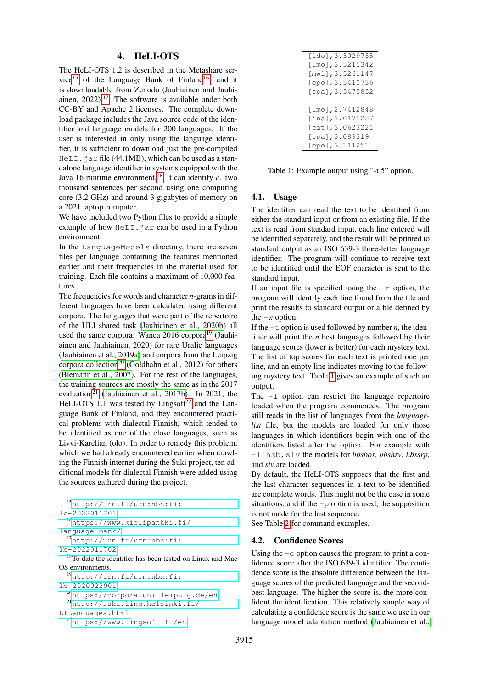## 4. HeLI-OTS

The HeLI-OTS 1.2 is described in the Metashare ser-vice<sup>[15](#page-3-0)</sup> of the Language Bank of Finland<sup>[16](#page-3-1)</sup>, and it is downloadable from Zenodo (Jauhiainen and Jauhiainen,  $2022$ ).<sup>[17](#page-3-2)</sup> The software is available under both CC-BY and Apache 2 licenses. The complete download package includes the Java source code of the identifier and language models for 200 languages. If the user is interested in only using the language identifier, it is sufficient to download just the pre-compiled  $HELI$ . jar file (44.1MB), which can be used as a standalone language identifier in systems equipped with the Java 16 runtime environment.[18](#page-3-3) It can identify *c*. two thousand sentences per second using one computing core (3.2 GHz) and around 3 gigabytes of memory on a 2021 laptop computer.

We have included two Python files to provide a simple example of how  $H \in LI$ . jar can be used in a Python environment.

In the LanguageModels directory, there are seven files per language containing the features mentioned earlier and their frequencies in the material used for training. Each file contains a maximum of 10,000 features.

The frequencies for words and character *n*-grams in different languages have been calculated using different corpora. The languages that were part of the repertoire of the ULI shared task [\(Jauhiainen et al., 2020b\)](#page-8-15) all used the same corpora: Wanca  $2016$  corpora<sup>[19](#page-3-4)</sup> (Jauhiainen and Jauhiainen, 2020) for rare Uralic languages [\(Jauhiainen et al., 2019a\)](#page-8-16) and corpora from the Leipzig corpora collection<sup>[20](#page-3-5)</sup> (Goldhahn et al., 2012) for others [\(Biemann et al., 2007\)](#page-7-16). For the rest of the languages, the training sources are mostly the same as in the 2017 evaluation<sup>[21](#page-3-6)</sup> [\(Jauhiainen et al., 2017b\)](#page-8-14). In 2021, the HeLI-OTS 1.1 was tested by Lingsoft<sup>[22](#page-3-7)</sup> and the Language Bank of Finland, and they encountered practical problems with dialectal Finnish, which tended to be identified as one of the close languages, such as Livvi-Karelian (olo). In order to remedy this problem, which we had already encountered earlier when crawling the Finnish internet during the Suki project, ten additional models for dialectal Finnish were added using the sources gathered during the project.

<span id="page-3-7"></span><span id="page-3-6"></span><span id="page-3-5"></span><span id="page-3-4"></span><span id="page-3-3"></span><span id="page-3-2"></span><span id="page-3-1"></span><span id="page-3-0"></span>

| $15$ http://urn.fi/urn:nbn:fi:                                        |
|-----------------------------------------------------------------------|
| 1b-2022011701                                                         |
| $^{16}$ https://www.kielipankki.fi/                                   |
| language-bank/                                                        |
| $17$ http://urn.fi/urn:nbn:fi:                                        |
| 1b-2022011702                                                         |
| <sup>18</sup> To date the identifier has been tested on Linux and Mac |
| OS environments.                                                      |
| $^{19}$ http://urn.fi/urn:nbn:fi:                                     |
| 1b-2020022901                                                         |
| <sup>20</sup> https://corpora.uni-leipzig.de/en                       |
| $^{21}$ http://suki.ling.helsinki.fi/                                 |
| LILanquages.html                                                      |
| <sup>22</sup> https://www.lingsoft.fi/en                              |

| [ido],3.5029755     |
|---------------------|
| $[lmo]$ , 3.5215342 |
| [mw1], 3.5261147    |
| [epo], 3.5410736    |
| [spa], 3.5475852    |
|                     |
| [lmo], 2.7412848    |
| [ina], 3.0175257    |
| [cat],3.0623221     |
| [spa], 3.089319     |
| [epo],3.111251      |
|                     |

<span id="page-3-8"></span>Table 1: Example output using "-t 5" option.

#### 4.1. Usage

The identifier can read the text to be identified from either the standard input or from an existing file. If the text is read from standard input, each line entered will be identified separately, and the result will be printed to standard output as an ISO 639-3 three-letter language identifier. The program will continue to receive text to be identified until the EOF character is sent to the standard input.

If an input file is specified using the  $-r$  option, the program will identify each line found from the file and print the results to standard output or a file defined by the  $-w$  option.

If the  $-t$  option is used followed by number *n*, the identifier will print the *n* best languages followed by their language scores (lower is better) for each mystery text. The list of top scores for each text is printed one per line, and an empty line indicates moving to the following mystery text. Table [1](#page-3-8) gives an example of such an output.

The -l option can restrict the language repertoire loaded when the program commences. The program still reads in the list of languages from the *languagelist* file, but the models are loaded for only those languages in which identifiers begin with one of the identifiers listed after the option. For example with -l hsb,slv the models for *hbsbos*, *hbshrv*, *hbssrp*, and *slv* are loaded.

By default, the HeLI-OTS supposes that the first and the last character sequences in a text to be identified are complete words. This might not be the case in some situations, and if the  $-p$  option is used, the supposition is not made for the last sequence.

See Table [2](#page-4-1) for command examples.

## 4.2. Confidence Scores

Using the  $-c$  option causes the program to print a confidence score after the ISO 639-3 identifier. The confidence score is the absolute difference between the language scores of the predicted language and the secondbest language. The higher the score is, the more confident the identification. This relatively simple way of calculating a confidence score is the same we use in our language model adaptation method [\(Jauhiainen et al.,](#page-8-17)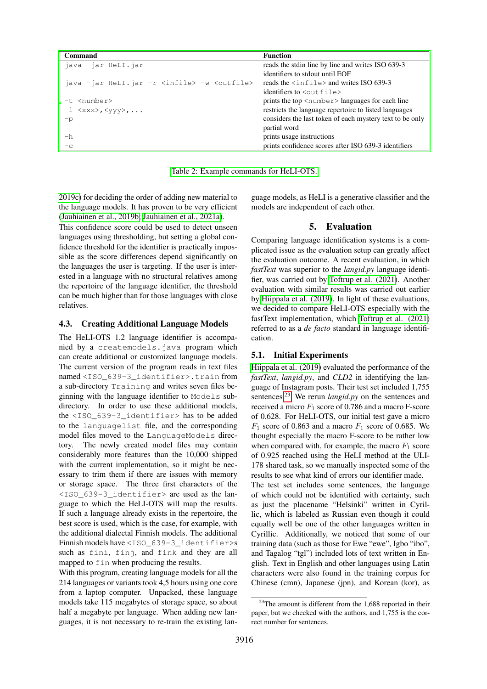| <b>Command</b>                                                 | <b>Function</b>                                                |
|----------------------------------------------------------------|----------------------------------------------------------------|
| java -jar HeLI.jar                                             | reads the stdin line by line and writes ISO 639-3              |
|                                                                | identifiers to stdout until EOF                                |
| java -jar HeLI.jar -r <infile> -w <outfile></outfile></infile> | reads the $\langle \text{infile} \rangle$ and writes ISO 639-3 |
|                                                                | identifiers to $\leq$ out file>                                |
| -t <number></number>                                           | prints the top <number> languages for each line</number>       |
| $-1$ <xxx>, <yyy>, </yyy></xxx>                                | restricts the language repertoire to listed languages          |
| $-p$                                                           | considers the last token of each mystery text to be only       |
|                                                                | partial word                                                   |
| $-h$                                                           | prints usage instructions                                      |
| $-c$                                                           | prints confidence scores after ISO 639-3 identifiers           |

<span id="page-4-1"></span>[Table 2: Example commands for HeLI-OTS.](#page-8-17)

[2019c\)](#page-8-17) for deciding the order of adding new material to the language models. It has proven to be very efficient [\(Jauhiainen et al., 2019b;](#page-8-18) [Jauhiainen et al., 2021a\)](#page-8-19).

This confidence score could be used to detect unseen languages using thresholding, but setting a global confidence threshold for the identifier is practically impossible as the score differences depend significantly on the languages the user is targeting. If the user is interested in a language with no structural relatives among the repertoire of the language identifier, the threshold can be much higher than for those languages with close relatives.

#### 4.3. Creating Additional Language Models

The HeLI-OTS 1.2 language identifier is accompanied by a createmodels.java program which can create additional or customized language models. The current version of the program reads in text files named <ISO\_639-3\_identifier>.train from a sub-directory Training and writes seven files beginning with the language identifier to Models subdirectory. In order to use these additional models, the <ISO\_639-3\_identifier> has to be added to the languagelist file, and the corresponding model files moved to the LanguageModels directory. The newly created model files may contain considerably more features than the 10,000 shipped with the current implementation, so it might be necessary to trim them if there are issues with memory or storage space. The three first characters of the <ISO\_639-3\_identifier> are used as the language to which the HeLI-OTS will map the results. If such a language already exists in the repertoire, the best score is used, which is the case, for example, with the additional dialectal Finnish models. The additional Finnish models have <ISO\_639-3\_identifier>s such as fini, finj, and fink and they are all mapped to fin when producing the results.

With this program, creating language models for all the 214 languages or variants took 4,5 hours using one core from a laptop computer. Unpacked, these language models take 115 megabytes of storage space, so about half a megabyte per language. When adding new languages, it is not necessary to re-train the existing lan-

guage models, as HeLI is a generative classifier and the models are independent of each other.

#### 5. Evaluation

<span id="page-4-0"></span>Comparing language identification systems is a complicated issue as the evaluation setup can greatly affect the evaluation outcome. A recent evaluation, in which *fastText* was superior to the *langid.py* language identifier, was carried out by [Toftrup et al. \(2021\)](#page-9-16). Another evaluation with similar results was carried out earlier by [Hiippala et al. \(2019\)](#page-8-7). In light of these evaluations, we decided to compare HeLI-OTS especially with the fastText implementation, which [Toftrup et al. \(2021\)](#page-9-16) referred to as a *de facto* standard in language identification.

#### 5.1. Initial Experiments

[Hiippala et al. \(2019\)](#page-8-7) evaluated the performance of the *fastText*, *langid.py*, and *CLD2* in identifying the language of Instagram posts. Their test set included 1,755 sentences.[23](#page-4-2) We rerun *langid.py* on the sentences and received a micro  $F_1$  score of 0.786 and a macro F-score of 0.628. For HeLI-OTS, our initial test gave a micro  $F_1$  score of 0.863 and a macro  $F_1$  score of 0.685. We thought especially the macro F-score to be rather low when compared with, for example, the macro  $F_1$  score of 0.925 reached using the HeLI method at the ULI-178 shared task, so we manually inspected some of the results to see what kind of errors our identifier made.

The test set includes some sentences, the language of which could not be identified with certainty, such as just the placename "Helsinki" written in Cyrillic, which is labeled as Russian even though it could equally well be one of the other languages written in Cyrillic. Additionally, we noticed that some of our training data (such as those for Ewe "ewe", Igbo "ibo", and Tagalog "tgl") included lots of text written in English. Text in English and other languages using Latin characters were also found in the training corpus for Chinese (cmn), Japanese (jpn), and Korean (kor), as

<span id="page-4-2"></span> $23$ The amount is different from the 1,688 reported in their paper, but we checked with the authors, and 1,755 is the correct number for sentences.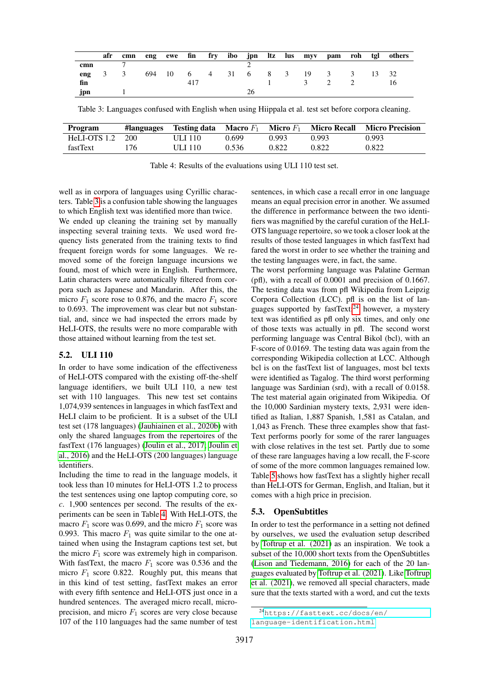|      |     | afr cmn |  |     |  |  |  |                                  |  | eng ewe fin fry ibo jpn ltz lus myv pam roh tgl others |
|------|-----|---------|--|-----|--|--|--|----------------------------------|--|--------------------------------------------------------|
| cmn  |     |         |  |     |  |  |  |                                  |  |                                                        |
| eng  | 3 3 |         |  |     |  |  |  | 694 10 6 4 31 6 8 3 19 3 3 13 32 |  |                                                        |
| fin  |     |         |  | 417 |  |  |  | $\frac{3}{2}$                    |  |                                                        |
| .jpn |     |         |  |     |  |  |  |                                  |  |                                                        |

<span id="page-5-0"></span>Table 3: Languages confused with English when using Hiippala et al. test set before corpora cleaning.

| Program      | #languages | <b>Testing data</b> Macro $F_1$ |       | <b>Micro</b> $F_1$ | <b>Micro Recall</b> | <b>Micro Precision</b> |
|--------------|------------|---------------------------------|-------|--------------------|---------------------|------------------------|
| HeLI-OTS 1.2 | 200        | ULI 110-                        | 0.699 | 0.993              | 0.993               | 0.993                  |
| fastText     | 76         | ULI 110-                        | 0.536 | 0.822              | 0.822               | 0.822                  |

<span id="page-5-1"></span>Table 4: Results of the evaluations using ULI 110 test set.

well as in corpora of languages using Cyrillic characters. Table [3](#page-5-0) is a confusion table showing the languages to which English text was identified more than twice.

We ended up cleaning the training set by manually inspecting several training texts. We used word frequency lists generated from the training texts to find frequent foreign words for some languages. We removed some of the foreign language incursions we found, most of which were in English. Furthermore, Latin characters were automatically filtered from corpora such as Japanese and Mandarin. After this, the micro  $F_1$  score rose to 0.876, and the macro  $F_1$  score to 0.693. The improvement was clear but not substantial, and, since we had inspected the errors made by HeLI-OTS, the results were no more comparable with those attained without learning from the test set.

#### 5.2. ULI 110

In order to have some indication of the effectiveness of HeLI-OTS compared with the existing off-the-shelf language identifiers, we built ULI 110, a new test set with 110 languages. This new test set contains 1,074,939 sentences in languages in which fastText and HeLI claim to be proficient. It is a subset of the ULI test set (178 languages) [\(Jauhiainen et al., 2020b\)](#page-8-15) with only the shared languages from the repertoires of the fastText (176 languages) [\(Joulin et al., 2017;](#page-9-8) [Joulin et](#page-8-6) [al., 2016\)](#page-8-6) and the HeLI-OTS (200 languages) language identifiers.

Including the time to read in the language models, it took less than 10 minutes for HeLI-OTS 1.2 to process the test sentences using one laptop computing core, so *c*. 1,900 sentences per second. The results of the experiments can be seen in Table [4.](#page-5-1) With HeLI-OTS, the macro  $F_1$  score was 0.699, and the micro  $F_1$  score was 0.993. This macro  $F_1$  was quite similar to the one attained when using the Instagram captions test set, but the micro  $F_1$  score was extremely high in comparison. With fastText, the macro  $F_1$  score was 0.536 and the micro  $F_1$  score 0.822. Roughly put, this means that in this kind of test setting, fastText makes an error with every fifth sentence and HeLI-OTS just once in a hundred sentences. The averaged micro recall, microprecision, and micro  $F_1$  scores are very close because 107 of the 110 languages had the same number of test

sentences, in which case a recall error in one language means an equal precision error in another. We assumed the difference in performance between the two identifiers was magnified by the careful curation of the HeLI-OTS language repertoire, so we took a closer look at the results of those tested languages in which fastText had fared the worst in order to see whether the training and the testing languages were, in fact, the same.

The worst performing language was Palatine German (pfl), with a recall of 0.0001 and precision of 0.1667. The testing data was from pfl Wikipedia from Leipzig Corpora Collection (LCC). pfl is on the list of lan-guages supported by fastText;<sup>[24](#page-5-2)</sup> however, a mystery text was identified as pfl only six times, and only one of those texts was actually in pfl. The second worst performing language was Central Bikol (bcl), with an F-score of 0.0169. The testing data was again from the corresponding Wikipedia collection at LCC. Although bcl is on the fastText list of languages, most bcl texts were identified as Tagalog. The third worst performing language was Sardinian (srd), with a recall of 0.0158. The test material again originated from Wikipedia. Of the 10,000 Sardinian mystery texts, 2,931 were identified as Italian, 1,887 Spanish, 1,581 as Catalan, and 1,043 as French. These three examples show that fast-Text performs poorly for some of the rarer languages with close relatives in the test set. Partly due to some of these rare languages having a low recall, the F-score of some of the more common languages remained low. Table [5](#page-6-2) shows how fastText has a slightly higher recall than HeLI-OTS for German, English, and Italian, but it comes with a high price in precision.

## 5.3. OpenSubtitles

In order to test the performance in a setting not defined by ourselves, we used the evaluation setup described by [Toftrup et al. \(2021\)](#page-9-16) as an inspiration. We took a subset of the 10,000 short texts from the OpenSubtitles [\(Lison and Tiedemann, 2016\)](#page-9-17) for each of the 20 languages evaluated by [Toftrup et al. \(2021\)](#page-9-16). Like [Toftrup](#page-9-16) [et al. \(2021\)](#page-9-16), we removed all special characters, made sure that the texts started with a word, and cut the texts

<span id="page-5-2"></span><sup>24</sup>[https://fasttext.cc/docs/en/](https://fasttext.cc/docs/en/language-identification.html) [language-identification.html](https://fasttext.cc/docs/en/language-identification.html)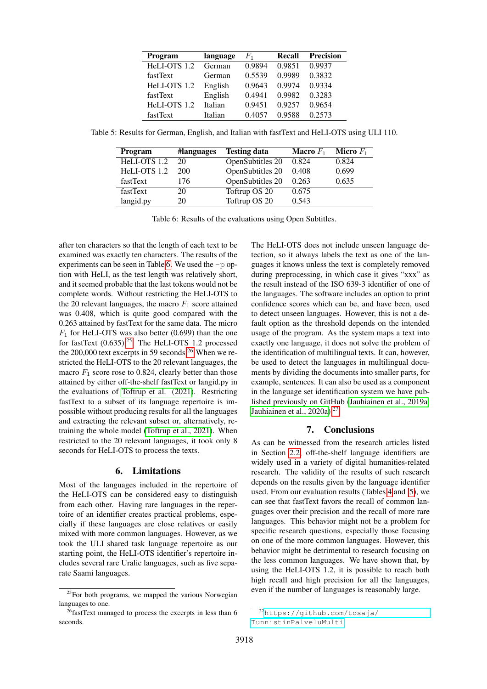| Program      | language | $F_1$  | Recall | <b>Precision</b> |
|--------------|----------|--------|--------|------------------|
| HeLI-OTS 1.2 | German   | 0.9894 | 0.9851 | 0.9937           |
| fastText     | German   | 0.5539 | 0.9989 | 0.3832           |
| HeLI-OTS 1.2 | English  | 0.9643 | 0.9974 | 0.9334           |
| fastText     | English  | 0.4941 | 0.9982 | 0.3283           |
| HeLI-OTS 1.2 | Italian  | 0.9451 | 0.9257 | 0.9654           |
| fastText     | Italian  | 0.4057 | 0.9588 | 0.2573           |

Table 5: Results for German, English, and Italian with fastText and HeLI-OTS using ULI 110.

<span id="page-6-2"></span>

| Program      | #languages | <b>Testing data</b> | <b>Macro</b> $F_1$ | <b>Micro</b> $F_1$ |
|--------------|------------|---------------------|--------------------|--------------------|
| HeLI-OTS 1.2 | 20         | OpenSubtitles 20    | 0.824              | 0.824              |
| HeLI-OTS 1.2 | 200        | OpenSubtitles 20    | 0.408              | 0.699              |
| fastText     | 176        | OpenSubtitles 20    | 0.263              | 0.635              |
| fastText     | 20         | Toftrup OS 20       | 0.675              |                    |
| langid.py    | 20         | Toftrup OS 20       | 0.543              |                    |

<span id="page-6-3"></span>Table 6: Results of the evaluations using Open Subtitles.

after ten characters so that the length of each text to be examined was exactly ten characters. The results of the experiments can be seen in Table [6.](#page-6-3) We used the -p option with HeLI, as the test length was relatively short, and it seemed probable that the last tokens would not be complete words. Without restricting the HeLI-OTS to the 20 relevant languages, the macro  $F_1$  score attained was 0.408, which is quite good compared with the 0.263 attained by fastText for the same data. The micro  $F_1$  for HeLI-OTS was also better (0.699) than the one for fastText  $(0.635)^{25}$  $(0.635)^{25}$  $(0.635)^{25}$  The HeLI-OTS 1.2 processed the 200,000 text excerpts in 59 seconds.<sup>[26](#page-6-5)</sup> When we restricted the HeLI-OTS to the 20 relevant languages, the macro  $F_1$  score rose to 0.824, clearly better than those attained by either off-the-shelf fastText or langid.py in the evaluations of [Toftrup et al. \(2021\)](#page-9-16). Restricting fastText to a subset of its language repertoire is impossible without producing results for all the languages and extracting the relevant subset or, alternatively, retraining the whole model [\(Toftrup et al., 2021\)](#page-9-16). When restricted to the 20 relevant languages, it took only 8 seconds for HeLI-OTS to process the texts.

#### 6. Limitations

<span id="page-6-0"></span>Most of the languages included in the repertoire of the HeLI-OTS can be considered easy to distinguish from each other. Having rare languages in the repertoire of an identifier creates practical problems, especially if these languages are close relatives or easily mixed with more common languages. However, as we took the ULI shared task language repertoire as our starting point, the HeLI-OTS identifier's repertoire includes several rare Uralic languages, such as five separate Saami languages.

The HeLI-OTS does not include unseen language detection, so it always labels the text as one of the languages it knows unless the text is completely removed during preprocessing, in which case it gives "xxx" as the result instead of the ISO 639-3 identifier of one of the languages. The software includes an option to print confidence scores which can be, and have been, used to detect unseen languages. However, this is not a default option as the threshold depends on the intended usage of the program. As the system maps a text into exactly one language, it does not solve the problem of the identification of multilingual texts. It can, however, be used to detect the languages in multilingual documents by dividing the documents into smaller parts, for example, sentences. It can also be used as a component in the language set identification system we have published previously on GitHub [\(Jauhiainen et al., 2019a;](#page-8-16) [Jauhiainen et al., 2020a\)](#page-8-20). $27$ 

## 7. Conclusions

<span id="page-6-1"></span>As can be witnessed from the research articles listed in Section [2.2,](#page-0-3) off-the-shelf language identifiers are widely used in a variety of digital humanities-related research. The validity of the results of such research depends on the results given by the language identifier used. From our evaluation results (Tables [4](#page-5-1) and [5\)](#page-6-2), we can see that fastText favors the recall of common languages over their precision and the recall of more rare languages. This behavior might not be a problem for specific research questions, especially those focusing on one of the more common languages. However, this behavior might be detrimental to research focusing on the less common languages. We have shown that, by using the HeLI-OTS 1.2, it is possible to reach both high recall and high precision for all the languages, even if the number of languages is reasonably large.

<span id="page-6-4"></span><sup>&</sup>lt;sup>25</sup>For both programs, we mapped the various Norwegian languages to one.

<span id="page-6-5"></span> $26$ fastText managed to process the excerpts in less than 6 seconds.

<span id="page-6-6"></span><sup>27</sup>[https://github.com/tosaja/](https://github.com/tosaja/TunnistinPalveluMulti) [TunnistinPalveluMulti](https://github.com/tosaja/TunnistinPalveluMulti)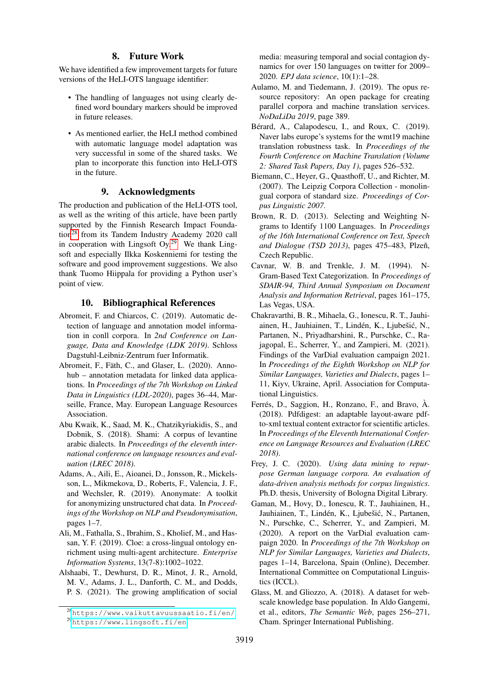#### 8. Future Work

<span id="page-7-0"></span>We have identified a few improvement targets for future versions of the HeLI-OTS language identifier:

- The handling of languages not using clearly defined word boundary markers should be improved in future releases.
- As mentioned earlier, the HeLI method combined with automatic language model adaptation was very successful in some of the shared tasks. We plan to incorporate this function into HeLI-OTS in the future.

## 9. Acknowledgments

The production and publication of the HeLI-OTS tool, as well as the writing of this article, have been partly supported by the Finnish Research Impact Foundation[28](#page-7-17) from its Tandem Industry Academy 2020 call in cooperation with Lingsoft Oy.<sup>[29](#page-7-18)</sup> We thank Lingsoft and especially Ilkka Koskenniemi for testing the software and good improvement suggestions. We also thank Tuomo Hiippala for providing a Python user's point of view.

#### 10. Bibliographical References

- <span id="page-7-10"></span>Abromeit, F. and Chiarcos, C. (2019). Automatic detection of language and annotation model information in conll corpora. In *2nd Conference on Language, Data and Knowledge (LDK 2019)*. Schloss Dagstuhl-Leibniz-Zentrum fuer Informatik.
- <span id="page-7-11"></span>Abromeit, F., Fäth, C., and Glaser, L. (2020). Annohub – annotation metadata for linked data applications. In *Proceedings of the 7th Workshop on Linked Data in Linguistics (LDL-2020)*, pages 36–44, Marseille, France, May. European Language Resources Association.
- <span id="page-7-2"></span>Abu Kwaik, K., Saad, M. K., Chatzikyriakidis, S., and Dobnik, S. (2018). Shami: A corpus of levantine arabic dialects. In *Proceedings of the eleventh international conference on language resources and evaluation (LREC 2018)*.
- <span id="page-7-6"></span>Adams, A., Aili, E., Aioanei, D., Jonsson, R., Mickelsson, L., Mikmekova, D., Roberts, F., Valencia, J. F., and Wechsler, R. (2019). Anonymate: A toolkit for anonymizing unstructured chat data. In *Proceedings of the Workshop on NLP and Pseudonymisation*, pages 1–7.
- <span id="page-7-7"></span>Ali, M., Fathalla, S., Ibrahim, S., Kholief, M., and Hassan, Y. F. (2019). Cloe: a cross-lingual ontology enrichment using multi-agent architecture. *Enterprise Information Systems*, 13(7-8):1002–1022.
- <span id="page-7-12"></span>Alshaabi, T., Dewhurst, D. R., Minot, J. R., Arnold, M. V., Adams, J. L., Danforth, C. M., and Dodds, P. S. (2021). The growing amplification of social

media: measuring temporal and social contagion dynamics for over 150 languages on twitter for 2009– 2020. *EPJ data science*, 10(1):1–28.

- <span id="page-7-4"></span>Aulamo, M. and Tiedemann, J. (2019). The opus resource repository: An open package for creating parallel corpora and machine translation services. *NoDaLiDa 2019*, page 389.
- <span id="page-7-3"></span>Bérard, A., Calapodescu, I., and Roux, C. (2019). Naver labs europe's systems for the wmt19 machine translation robustness task. In *Proceedings of the Fourth Conference on Machine Translation (Volume 2: Shared Task Papers, Day 1)*, pages 526–532.
- <span id="page-7-16"></span>Biemann, C., Heyer, G., Quasthoff, U., and Richter, M. (2007). The Leipzig Corpora Collection - monolingual corpora of standard size. *Proceedings of Corpus Linguistic 2007*.
- <span id="page-7-13"></span>Brown, R. D. (2013). Selecting and Weighting Ngrams to Identify 1100 Languages. In *Proceedings of the 16th International Conference on Text, Speech and Dialogue (TSD 2013)*, pages 475–483, Plzeň, Czech Republic.
- <span id="page-7-1"></span>Cavnar, W. B. and Trenkle, J. M. (1994). N-Gram-Based Text Categorization. In *Proceedings of SDAIR-94, Third Annual Symposium on Document Analysis and Information Retrieval*, pages 161–175, Las Vegas, USA.
- <span id="page-7-15"></span>Chakravarthi, B. R., Mihaela, G., Ionescu, R. T., Jauhiainen, H., Jauhiainen, T., Lindén, K., Ljubešić, N., Partanen, N., Priyadharshini, R., Purschke, C., Rajagopal, E., Scherrer, Y., and Zampieri, M. (2021). Findings of the VarDial evaluation campaign 2021. In *Proceedings of the Eighth Workshop on NLP for Similar Languages, Varieties and Dialects*, pages 1– 11, Kiyv, Ukraine, April. Association for Computational Linguistics.
- <span id="page-7-8"></span>Ferrés, D., Saggion, H., Ronzano, F., and Bravo,  $\hat{A}$ . (2018). Pdfdigest: an adaptable layout-aware pdfto-xml textual content extractor for scientific articles. In *Proceedings of the Eleventh International Conference on Language Resources and Evaluation (LREC 2018)*.
- <span id="page-7-5"></span>Frey, J. C. (2020). *Using data mining to repurpose German language corpora. An evaluation of data-driven analysis methods for corpus linguistics*. Ph.D. thesis, University of Bologna Digital Library.
- <span id="page-7-14"></span>Gaman, M., Hovy, D., Ionescu, R. T., Jauhiainen, H., Jauhiainen, T., Lindén, K., Ljubešić, N., Partanen, N., Purschke, C., Scherrer, Y., and Zampieri, M. (2020). A report on the VarDial evaluation campaign 2020. In *Proceedings of the 7th Workshop on NLP for Similar Languages, Varieties and Dialects*, pages 1–14, Barcelona, Spain (Online), December. International Committee on Computational Linguistics (ICCL).
- <span id="page-7-9"></span>Glass, M. and Gliozzo, A. (2018). A dataset for webscale knowledge base population. In Aldo Gangemi, et al., editors, *The Semantic Web*, pages 256–271, Cham. Springer International Publishing.

<span id="page-7-18"></span><span id="page-7-17"></span><sup>28</sup><https://www.vaikuttavuussaatio.fi/en/> <sup>29</sup><https://www.lingsoft.fi/en>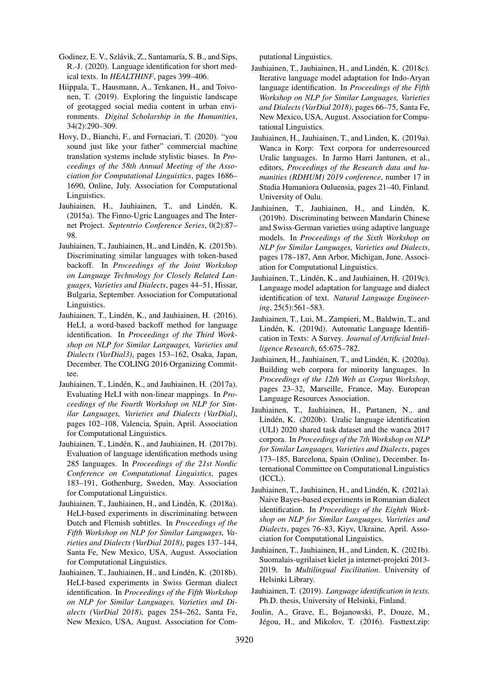- <span id="page-8-8"></span>Godinez, E. V., Szlávik, Z., Santamaría, S. B., and Sips, R.-J. (2020). Language identification for short medical texts. In *HEALTHINF*, pages 399–406.
- <span id="page-8-7"></span>Hiippala, T., Hausmann, A., Tenkanen, H., and Toivonen, T. (2019). Exploring the linguistic landscape of geotagged social media content in urban environments. *Digital Scholarship in the Humanities*, 34(2):290–309.
- <span id="page-8-5"></span>Hovy, D., Bianchi, F., and Fornaciari, T. (2020). "you sound just like your father" commercial machine translation systems include stylistic biases. In *Proceedings of the 58th Annual Meeting of the Association for Computational Linguistics*, pages 1686– 1690, Online, July. Association for Computational Linguistics.
- <span id="page-8-3"></span>Jauhiainen, H., Jauhiainen, T., and Lindén, K. (2015a). The Finno-Ugric Languages and The Internet Project. *Septentrio Conference Series*, 0(2):87– 98.
- <span id="page-8-9"></span>Jauhiainen, T., Jauhiainen, H., and Lindén, K. (2015b). Discriminating similar languages with token-based backoff. In *Proceedings of the Joint Workshop on Language Technology for Closely Related Languages, Varieties and Dialects*, pages 44–51, Hissar, Bulgaria, September. Association for Computational Linguistics.
- <span id="page-8-1"></span>Jauhiainen, T., Lindén, K., and Jauhiainen, H. (2016). HeLI, a word-based backoff method for language identification. In *Proceedings of the Third Workshop on NLP for Similar Languages, Varieties and Dialects (VarDial3)*, pages 153–162, Osaka, Japan, December. The COLING 2016 Organizing Committee.
- <span id="page-8-10"></span>Jauhiainen, T., Lindén, K., and Jauhiainen, H. (2017a). Evaluating HeLI with non-linear mappings. In *Proceedings of the Fourth Workshop on NLP for Similar Languages, Varieties and Dialects (VarDial)*, pages 102–108, Valencia, Spain, April. Association for Computational Linguistics.
- <span id="page-8-14"></span>Jauhiainen, T., Linden, K., and Jauhiainen, H. (2017b). ´ Evaluation of language identification methods using 285 languages. In *Proceedings of the 21st Nordic Conference on Computational Linguistics*, pages 183–191, Gothenburg, Sweden, May. Association for Computational Linguistics.
- <span id="page-8-11"></span>Jauhiainen, T., Jauhiainen, H., and Linden, K. (2018a). ´ HeLI-based experiments in discriminating between Dutch and Flemish subtitles. In *Proceedings of the Fifth Workshop on NLP for Similar Languages, Varieties and Dialects (VarDial 2018)*, pages 137–144, Santa Fe, New Mexico, USA, August. Association for Computational Linguistics.
- <span id="page-8-12"></span>Jauhiainen, T., Jauhiainen, H., and Linden, K. (2018b). ´ HeLI-based experiments in Swiss German dialect identification. In *Proceedings of the Fifth Workshop on NLP for Similar Languages, Varieties and Dialects (VarDial 2018)*, pages 254–262, Santa Fe, New Mexico, USA, August. Association for Com-

putational Linguistics.

- <span id="page-8-13"></span>Jauhiainen, T., Jauhiainen, H., and Linden, K. (2018c). ´ Iterative language model adaptation for Indo-Aryan language identification. In *Proceedings of the Fifth Workshop on NLP for Similar Languages, Varieties and Dialects (VarDial 2018)*, pages 66–75, Santa Fe, New Mexico, USA, August. Association for Computational Linguistics.
- <span id="page-8-16"></span>Jauhiainen, H., Jauhiainen, T., and Linden, K. (2019a). Wanca in Korp: Text corpora for underresourced Uralic languages. In Jarmo Harri Jantunen, et al., editors, *Proceedings of the Research data and humanities (RDHUM) 2019 conference*, number 17 in Studia Humaniora Ouluensia, pages 21–40, Finland. University of Oulu.
- <span id="page-8-18"></span>Jauhiainen, T., Jauhiainen, H., and Lindén, K. (2019b). Discriminating between Mandarin Chinese and Swiss-German varieties using adaptive language models. In *Proceedings of the Sixth Workshop on NLP for Similar Languages, Varieties and Dialects*, pages 178–187, Ann Arbor, Michigan, June. Association for Computational Linguistics.
- <span id="page-8-17"></span>Jauhiainen, T., Linden, K., and Jauhiainen, H. (2019c). ´ Language model adaptation for language and dialect identification of text. *Natural Language Engineering*, 25(5):561–583.
- <span id="page-8-2"></span>Jauhiainen, T., Lui, M., Zampieri, M., Baldwin, T., and Lindén, K. (2019d). Automatic Language Identification in Texts: A Survey. *Journal of Artificial Intelligence Research*, 65:675–782.
- <span id="page-8-20"></span>Jauhiainen, H., Jauhiainen, T., and Lindén, K. (2020a). Building web corpora for minority languages. In *Proceedings of the 12th Web as Corpus Workshop*, pages 23–32, Marseille, France, May. European Language Resources Association.
- <span id="page-8-15"></span>Jauhiainen, T., Jauhiainen, H., Partanen, N., and Linden, K. (2020b). Uralic language identification ´ (ULI) 2020 shared task dataset and the wanca 2017 corpora. In *Proceedings of the 7th Workshop on NLP for Similar Languages, Varieties and Dialects*, pages 173–185, Barcelona, Spain (Online), December. International Committee on Computational Linguistics (ICCL).
- <span id="page-8-19"></span>Jauhiainen, T., Jauhiainen, H., and Lindén, K. (2021a). Naive Bayes-based experiments in Romanian dialect identification. In *Proceedings of the Eighth Workshop on NLP for Similar Languages, Varieties and Dialects*, pages 76–83, Kiyv, Ukraine, April. Association for Computational Linguistics.
- <span id="page-8-4"></span>Jauhiainen, T., Jauhiainen, H., and Linden, K. (2021b). Suomalais-ugrilaiset kielet ja internet-projekti 2013- 2019. In *Multilingual Facilitation*. University of Helsinki Library.
- <span id="page-8-0"></span>Jauhiainen, T. (2019). *Language identification in texts*. Ph.D. thesis, University of Helsinki, Finland.
- <span id="page-8-6"></span>Joulin, A., Grave, E., Bojanowski, P., Douze, M., Jégou, H., and Mikolov, T. (2016). Fasttext.zip: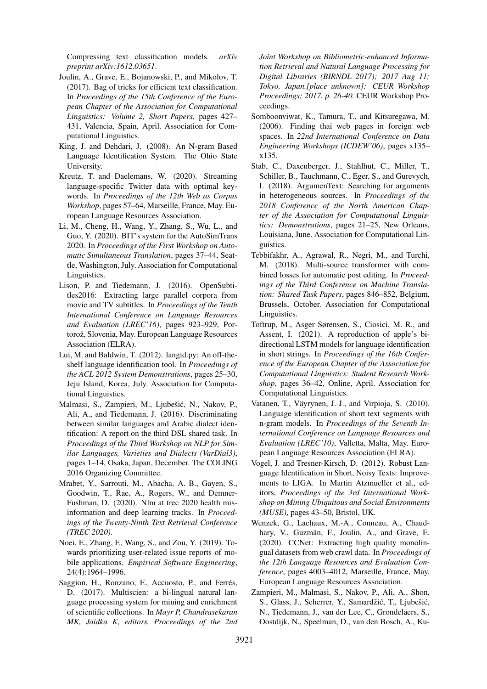Compressing text classification models. *arXiv preprint arXiv:1612.03651*.

- <span id="page-9-8"></span>Joulin, A., Grave, E., Bojanowski, P., and Mikolov, T. (2017). Bag of tricks for efficient text classification. In *Proceedings of the 15th Conference of the European Chapter of the Association for Computational Linguistics: Volume 2, Short Papers*, pages 427– 431, Valencia, Spain, April. Association for Computational Linguistics.
- <span id="page-9-14"></span>King, J. and Dehdari, J. (2008). An N-gram Based Language Identification System. The Ohio State University.
- <span id="page-9-9"></span>Kreutz, T. and Daelemans, W. (2020). Streaming language-specific Twitter data with optimal keywords. In *Proceedings of the 12th Web as Corpus Workshop*, pages 57–64, Marseille, France, May. European Language Resources Association.
- <span id="page-9-2"></span>Li, M., Cheng, H., Wang, Y., Zhang, S., Wu, L., and Guo, Y. (2020). BIT's system for the AutoSimTrans 2020. In *Proceedings of the First Workshop on Automatic Simultaneous Translation*, pages 37–44, Seattle, Washington, July. Association for Computational Linguistics.
- <span id="page-9-17"></span>Lison, P. and Tiedemann, J. (2016). OpenSubtitles2016: Extracting large parallel corpora from movie and TV subtitles. In *Proceedings of the Tenth International Conference on Language Resources and Evaluation (LREC'16)*, pages 923–929, Portorož, Slovenia, May. European Language Resources Association (ELRA).
- <span id="page-9-1"></span>Lui, M. and Baldwin, T. (2012). langid.py: An off-theshelf language identification tool. In *Proceedings of the ACL 2012 System Demonstrations*, pages 25–30, Jeju Island, Korea, July. Association for Computational Linguistics.
- <span id="page-9-11"></span>Malmasi, S., Zampieri, M., Ljubešić, N., Nakov, P., Ali, A., and Tiedemann, J. (2016). Discriminating between similar languages and Arabic dialect identification: A report on the third DSL shared task. In *Proceedings of the Third Workshop on NLP for Similar Languages, Varieties and Dialects (VarDial3)*, pages 1–14, Osaka, Japan, December. The COLING 2016 Organizing Committee.
- <span id="page-9-6"></span>Mrabet, Y., Sarrouti, M., Abacha, A. B., Gayen, S., Goodwin, T., Rae, A., Rogers, W., and Demner-Fushman, D. (2020). Nlm at trec 2020 health misinformation and deep learning tracks. In *Proceedings of the Twenty-Ninth Text Retrieval Conference (TREC 2020)*.
- <span id="page-9-7"></span>Noei, E., Zhang, F., Wang, S., and Zou, Y. (2019). Towards prioritizing user-related issue reports of mobile applications. *Empirical Software Engineering*, 24(4):1964–1996.
- <span id="page-9-4"></span>Saggion, H., Ronzano, F., Accuosto, P., and Ferrés, D. (2017). Multiscien: a bi-lingual natural language processing system for mining and enrichment of scientific collections. In *Mayr P, Chandrasekaran MK, Jaidka K, editors. Proceedings of the 2nd*

*Joint Workshop on Bibliometric-enhanced Information Retrieval and Natural Language Processing for Digital Libraries (BIRNDL 2017); 2017 Aug 11; Tokyo, Japan.[place unknown]: CEUR Workshop Proceedings; 2017. p. 26-40.* CEUR Workshop Proceedings.

- <span id="page-9-0"></span>Somboonviwat, K., Tamura, T., and Kitsuregawa, M. (2006). Finding thai web pages in foreign web spaces. In *22nd International Conference on Data Engineering Workshops (ICDEW'06)*, pages x135– x135.
- <span id="page-9-3"></span>Stab, C., Daxenberger, J., Stahlhut, C., Miller, T., Schiller, B., Tauchmann, C., Eger, S., and Gurevych, I. (2018). ArgumenText: Searching for arguments in heterogeneous sources. In *Proceedings of the 2018 Conference of the North American Chapter of the Association for Computational Linguistics: Demonstrations*, pages 21–25, New Orleans, Louisiana, June. Association for Computational Linguistics.
- <span id="page-9-5"></span>Tebbifakhr, A., Agrawal, R., Negri, M., and Turchi, M. (2018). Multi-source transformer with combined losses for automatic post editing. In *Proceedings of the Third Conference on Machine Translation: Shared Task Papers*, pages 846–852, Belgium, Brussels, October. Association for Computational Linguistics.
- <span id="page-9-16"></span>Toftrup, M., Asger Sørensen, S., Ciosici, M. R., and Assent, I. (2021). A reproduction of apple's bidirectional LSTM models for language identification in short strings. In *Proceedings of the 16th Conference of the European Chapter of the Association for Computational Linguistics: Student Research Workshop*, pages 36–42, Online, April. Association for Computational Linguistics.
- <span id="page-9-15"></span>Vatanen, T., Väyrynen, J. J., and Virpioja, S. (2010). Language identification of short text segments with n-gram models. In *Proceedings of the Seventh International Conference on Language Resources and Evaluation (LREC'10)*, Valletta, Malta, May. European Language Resources Association (ELRA).
- <span id="page-9-13"></span>Vogel, J. and Tresner-Kirsch, D. (2012). Robust Language Identification in Short, Noisy Texts: Improvements to LIGA. In Martin Atzmueller et al., editors, *Proceedings of the 3rd International Workshop on Mining Ubiquitous and Social Environments (MUSE)*, pages 43–50, Bristol, UK.
- <span id="page-9-10"></span>Wenzek, G., Lachaux, M.-A., Conneau, A., Chaudhary, V., Guzmán, F., Joulin, A., and Grave, E. (2020). CCNet: Extracting high quality monolingual datasets from web crawl data. In *Proceedings of the 12th Language Resources and Evaluation Conference*, pages 4003–4012, Marseille, France, May. European Language Resources Association.
- <span id="page-9-12"></span>Zampieri, M., Malmasi, S., Nakov, P., Ali, A., Shon, S., Glass, J., Scherrer, Y., Samardžić, T., Ljubešić, N., Tiedemann, J., van der Lee, C., Grondelaers, S., Oostdijk, N., Speelman, D., van den Bosch, A., Ku-